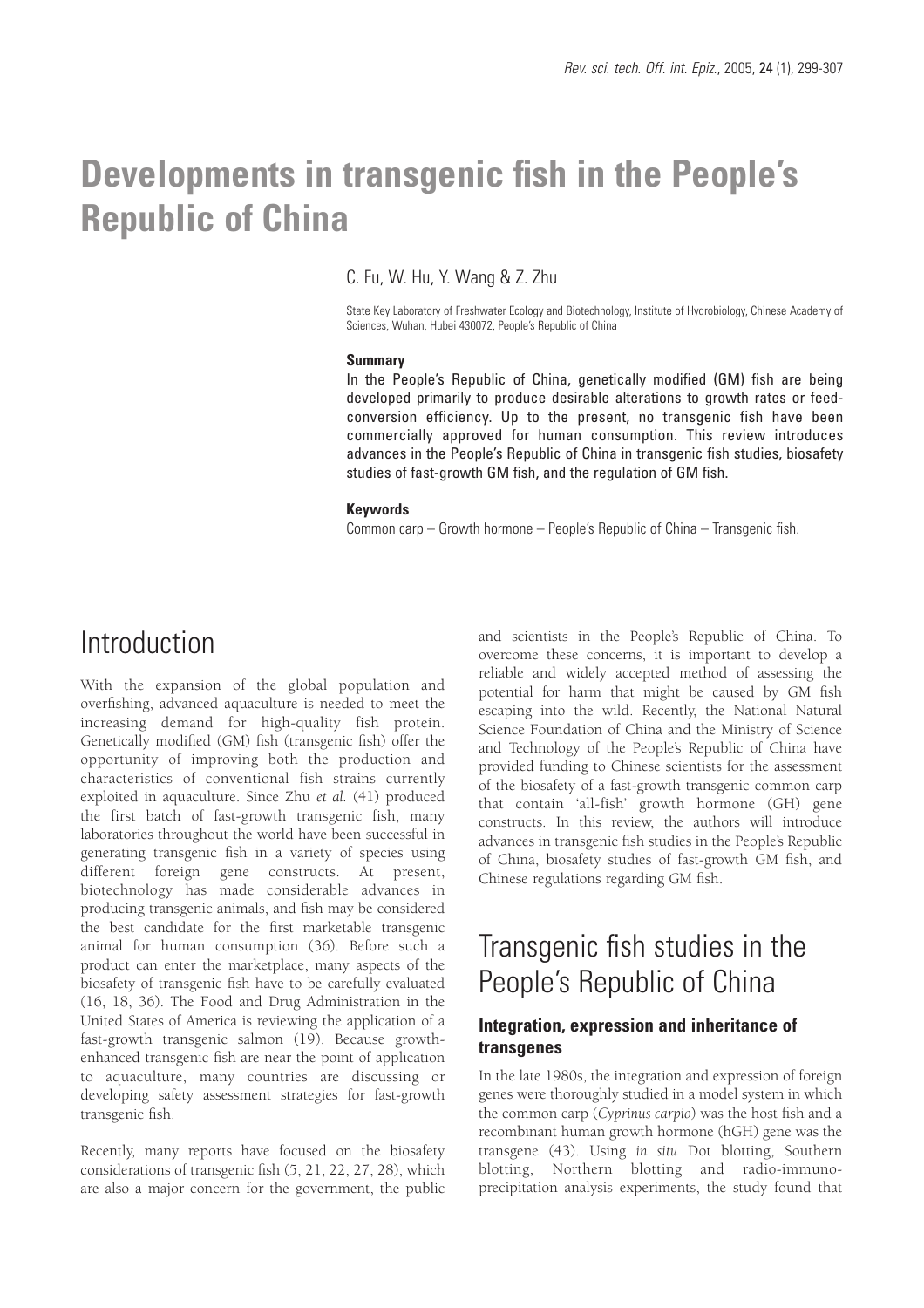# **Developments in transgenic fish in the People's Republic of China**

C. Fu, W. Hu, Y. Wang & Z. Zhu

State Key Laboratory of Freshwater Ecology and Biotechnology, Institute of Hydrobiology, Chinese Academy of Sciences, Wuhan, Hubei 430072, People's Republic of China

### **Summary**

In the People's Republic of China, genetically modified (GM) fish are being developed primarily to produce desirable alterations to growth rates or feedconversion efficiency. Up to the present, no transgenic fish have been commercially approved for human consumption. This review introduces advances in the People's Republic of China in transgenic fish studies, biosafety studies of fast-growth GM fish, and the regulation of GM fish.

### **Keywords**

Common carp – Growth hormone – People's Republic of China – Transgenic fish.

### Introduction

With the expansion of the global population and overfishing, advanced aquaculture is needed to meet the increasing demand for high-quality fish protein. Genetically modified (GM) fish (transgenic fish) offer the opportunity of improving both the production and characteristics of conventional fish strains currently exploited in aquaculture. Since Zhu *et al.* (41) produced the first batch of fast-growth transgenic fish, many laboratories throughout the world have been successful in generating transgenic fish in a variety of species using different foreign gene constructs. At present, biotechnology has made considerable advances in producing transgenic animals, and fish may be considered the best candidate for the first marketable transgenic animal for human consumption (36). Before such a product can enter the marketplace, many aspects of the biosafety of transgenic fish have to be carefully evaluated (16, 18, 36). The Food and Drug Administration in the United States of America is reviewing the application of a fast-growth transgenic salmon (19). Because growthenhanced transgenic fish are near the point of application to aquaculture, many countries are discussing or developing safety assessment strategies for fast-growth transgenic fish.

Recently, many reports have focused on the biosafety considerations of transgenic fish (5, 21, 22, 27, 28), which are also a major concern for the government, the public and scientists in the People's Republic of China. To overcome these concerns, it is important to develop a reliable and widely accepted method of assessing the potential for harm that might be caused by GM fish escaping into the wild. Recently, the National Natural Science Foundation of China and the Ministry of Science and Technology of the People's Republic of China have provided funding to Chinese scientists for the assessment of the biosafety of a fast-growth transgenic common carp that contain 'all-fish' growth hormone (GH) gene constructs. In this review, the authors will introduce advances in transgenic fish studies in the People's Republic of China, biosafety studies of fast-growth GM fish, and Chinese regulations regarding GM fish.

## Transgenic fish studies in the People's Republic of China

### **Integration, expression and inheritance of transgenes**

In the late 1980s, the integration and expression of foreign genes were thoroughly studied in a model system in which the common carp (*Cyprinus carpio*) was the host fish and a recombinant human growth hormone (hGH) gene was the transgene (43). Using *in situ* Dot blotting, Southern blotting, Northern blotting and radio-immunoprecipitation analysis experiments, the study found that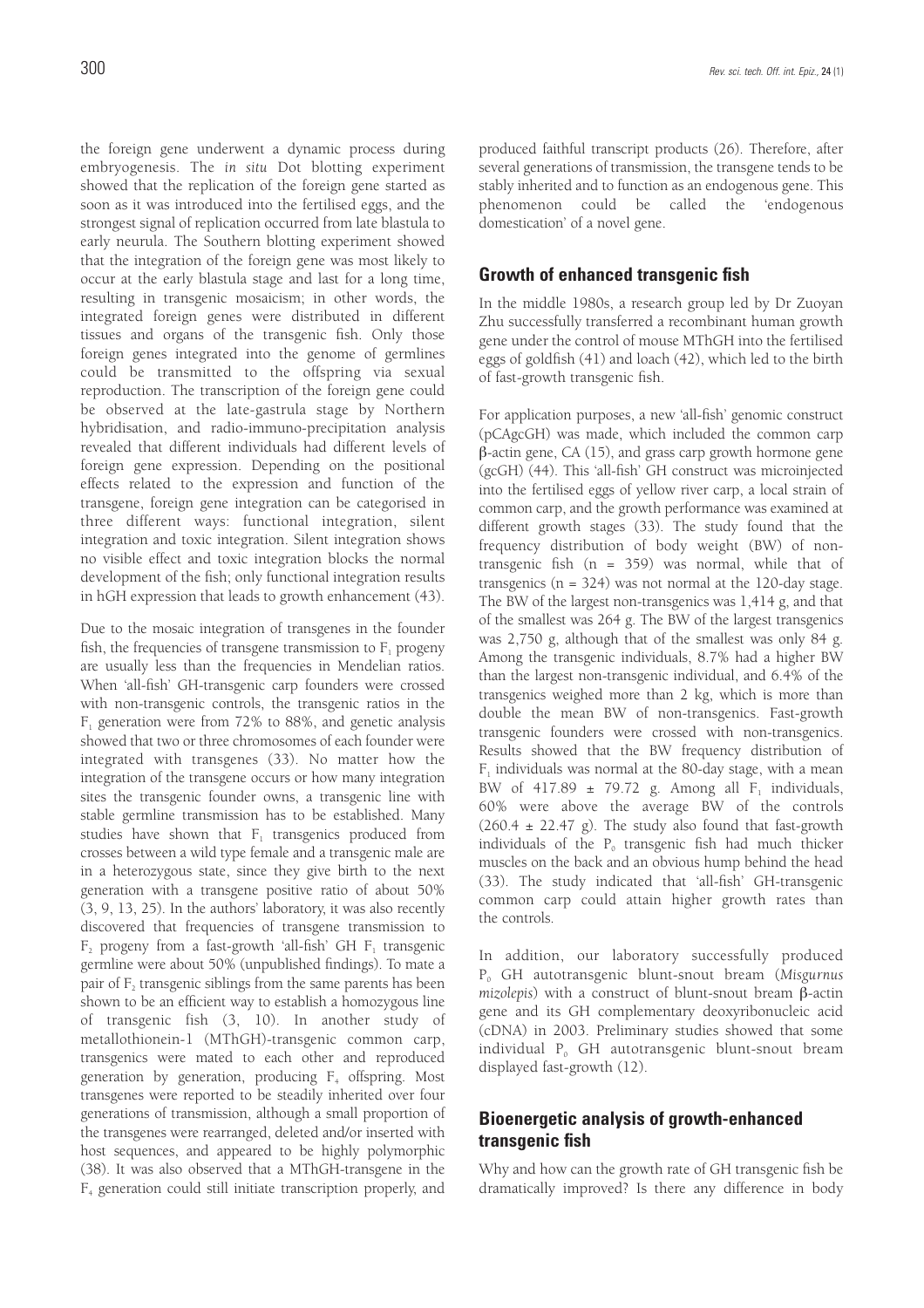the foreign gene underwent a dynamic process during embryogenesis. The *in situ* Dot blotting experiment showed that the replication of the foreign gene started as soon as it was introduced into the fertilised eggs, and the strongest signal of replication occurred from late blastula to early neurula. The Southern blotting experiment showed that the integration of the foreign gene was most likely to occur at the early blastula stage and last for a long time, resulting in transgenic mosaicism; in other words, the integrated foreign genes were distributed in different tissues and organs of the transgenic fish. Only those foreign genes integrated into the genome of germlines could be transmitted to the offspring via sexual reproduction. The transcription of the foreign gene could be observed at the late-gastrula stage by Northern hybridisation, and radio-immuno-precipitation analysis revealed that different individuals had different levels of foreign gene expression. Depending on the positional effects related to the expression and function of the transgene, foreign gene integration can be categorised in three different ways: functional integration, silent integration and toxic integration. Silent integration shows no visible effect and toxic integration blocks the normal development of the fish; only functional integration results in hGH expression that leads to growth enhancement (43).

Due to the mosaic integration of transgenes in the founder fish, the frequencies of transgene transmission to  $F_1$  progeny are usually less than the frequencies in Mendelian ratios. When 'all-fish' GH-transgenic carp founders were crossed with non-transgenic controls, the transgenic ratios in the  $F_1$  generation were from 72% to 88%, and genetic analysis showed that two or three chromosomes of each founder were integrated with transgenes (33). No matter how the integration of the transgene occurs or how many integration sites the transgenic founder owns, a transgenic line with stable germline transmission has to be established. Many studies have shown that  $F_1$  transgenics produced from crosses between a wild type female and a transgenic male are in a heterozygous state, since they give birth to the next generation with a transgene positive ratio of about 50% (3, 9, 13, 25). In the authors' laboratory, it was also recently discovered that frequencies of transgene transmission to F<sub>2</sub> progeny from a fast-growth 'all-fish' GH F<sub>1</sub> transgenic germline were about 50% (unpublished findings). To mate a pair of F<sub>2</sub> transgenic siblings from the same parents has been shown to be an efficient way to establish a homozygous line of transgenic fish (3, 10). In another study of metallothionein-1 (MThGH)-transgenic common carp, transgenics were mated to each other and reproduced generation by generation, producing  $F_4$  offspring. Most transgenes were reported to be steadily inherited over four generations of transmission, although a small proportion of the transgenes were rearranged, deleted and/or inserted with host sequences, and appeared to be highly polymorphic (38). It was also observed that a MThGH-transgene in the  $F<sub>4</sub>$  generation could still initiate transcription properly, and

produced faithful transcript products (26). Therefore, after several generations of transmission, the transgene tends to be stably inherited and to function as an endogenous gene. This phenomenon could be called the 'endogenous domestication' of a novel gene.

### **Growth of enhanced transgenic fish**

In the middle 1980s, a research group led by Dr Zuoyan Zhu successfully transferred a recombinant human growth gene under the control of mouse MThGH into the fertilised eggs of goldfish (41) and loach (42), which led to the birth of fast-growth transgenic fish.

For application purposes, a new 'all-fish' genomic construct (pCAgcGH) was made, which included the common carp β-actin gene, CA (15), and grass carp growth hormone gene (gcGH) (44). This 'all-fish' GH construct was microinjected into the fertilised eggs of yellow river carp, a local strain of common carp, and the growth performance was examined at different growth stages (33). The study found that the frequency distribution of body weight (BW) of nontransgenic fish (n = 359) was normal, while that of transgenics  $(n = 324)$  was not normal at the 120-day stage. The BW of the largest non-transgenics was 1,414 g, and that of the smallest was 264 g. The BW of the largest transgenics was 2,750 g, although that of the smallest was only 84 g. Among the transgenic individuals, 8.7% had a higher BW than the largest non-transgenic individual, and 6.4% of the transgenics weighed more than 2 kg, which is more than double the mean BW of non-transgenics. Fast-growth transgenic founders were crossed with non-transgenics. Results showed that the BW frequency distribution of  $F_1$  individuals was normal at the 80-day stage, with a mean BW of 417.89  $\pm$  79.72 g. Among all F<sub>1</sub> individuals, 60% were above the average BW of the controls  $(260.4 \pm 22.47 \text{ g})$ . The study also found that fast-growth individuals of the  $P_0$  transgenic fish had much thicker muscles on the back and an obvious hump behind the head (33). The study indicated that 'all-fish' GH-transgenic common carp could attain higher growth rates than the controls.

In addition, our laboratory successfully produced P0 GH autotransgenic blunt-snout bream (*Misgurnus mizolepis*) with a construct of blunt-snout bream β-actin gene and its GH complementary deoxyribonucleic acid (cDNA) in 2003. Preliminary studies showed that some individual P<sub>0</sub> GH autotransgenic blunt-snout bream displayed fast-growth (12).

### **Bioenergetic analysis of growth-enhanced transgenic fish**

Why and how can the growth rate of GH transgenic fish be dramatically improved? Is there any difference in body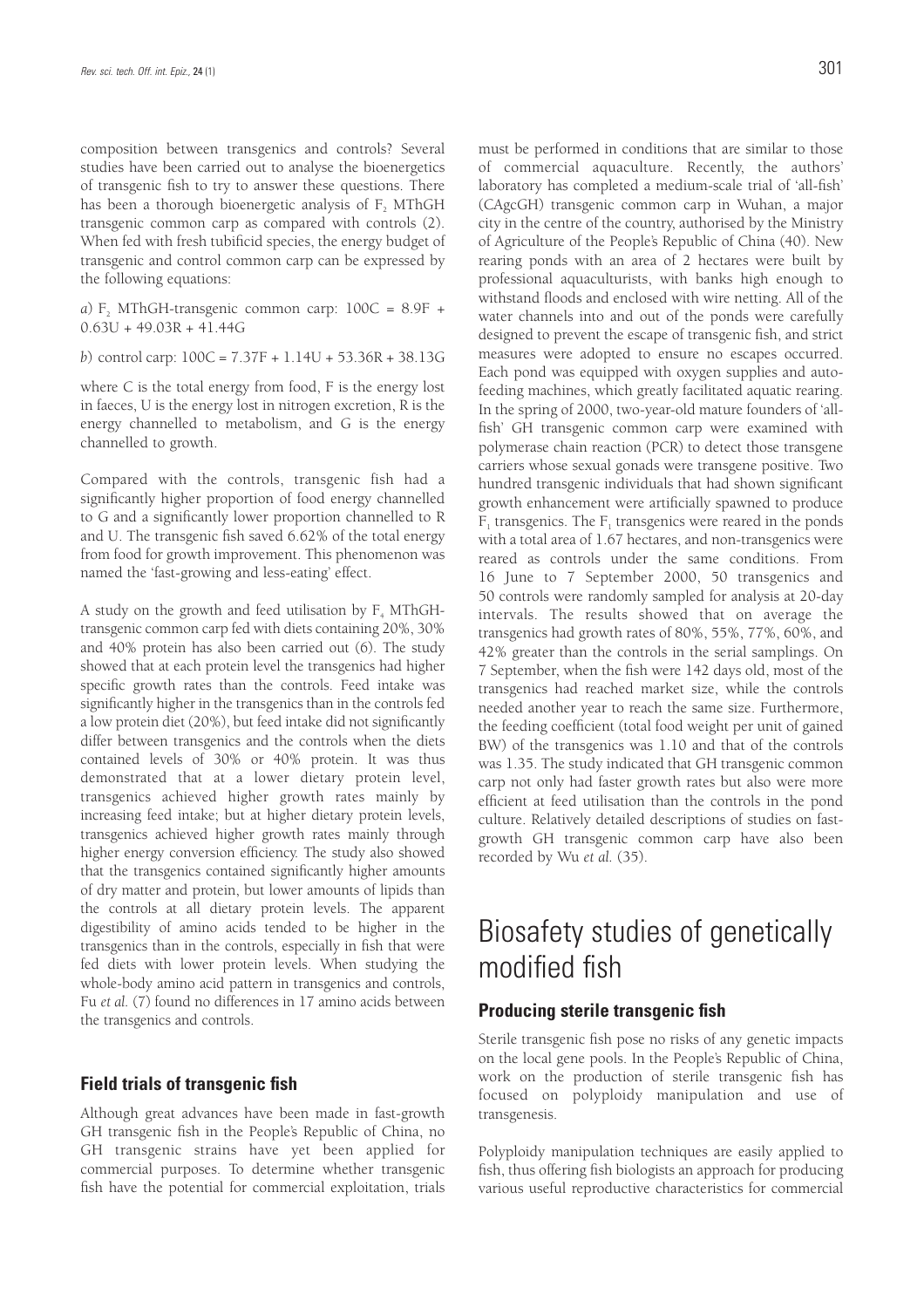composition between transgenics and controls? Several studies have been carried out to analyse the bioenergetics of transgenic fish to try to answer these questions. There has been a thorough bioenergetic analysis of  $F<sub>2</sub>$  MThGH transgenic common carp as compared with controls (2). When fed with fresh tubificid species, the energy budget of transgenic and control common carp can be expressed by the following equations:

*a*)  $F<sub>2</sub>$  MThGH-transgenic common carp:  $100C = 8.9F +$ 0.63U + 49.03R + 41.44G

*b*) control carp: 100C = 7.37F + 1.14U + 53.36R + 38.13G

where C is the total energy from food, F is the energy lost in faeces, U is the energy lost in nitrogen excretion, R is the energy channelled to metabolism, and G is the energy channelled to growth.

Compared with the controls, transgenic fish had a significantly higher proportion of food energy channelled to G and a significantly lower proportion channelled to R and U. The transgenic fish saved 6.62% of the total energy from food for growth improvement. This phenomenon was named the 'fast-growing and less-eating' effect.

A study on the growth and feed utilisation by  $F<sub>4</sub> MThGH$ transgenic common carp fed with diets containing 20%, 30% and 40% protein has also been carried out (6). The study showed that at each protein level the transgenics had higher specific growth rates than the controls. Feed intake was significantly higher in the transgenics than in the controls fed a low protein diet (20%), but feed intake did not significantly differ between transgenics and the controls when the diets contained levels of 30% or 40% protein. It was thus demonstrated that at a lower dietary protein level, transgenics achieved higher growth rates mainly by increasing feed intake; but at higher dietary protein levels, transgenics achieved higher growth rates mainly through higher energy conversion efficiency. The study also showed that the transgenics contained significantly higher amounts of dry matter and protein, but lower amounts of lipids than the controls at all dietary protein levels. The apparent digestibility of amino acids tended to be higher in the transgenics than in the controls, especially in fish that were fed diets with lower protein levels. When studying the whole-body amino acid pattern in transgenics and controls, Fu *et al.* (7) found no differences in 17 amino acids between the transgenics and controls.

### **Field trials of transgenic fish**

Although great advances have been made in fast-growth GH transgenic fish in the People's Republic of China, no GH transgenic strains have yet been applied for commercial purposes. To determine whether transgenic fish have the potential for commercial exploitation, trials must be performed in conditions that are similar to those of commercial aquaculture. Recently, the authors' laboratory has completed a medium-scale trial of 'all-fish' (CAgcGH) transgenic common carp in Wuhan, a major city in the centre of the country, authorised by the Ministry of Agriculture of the People's Republic of China (40). New rearing ponds with an area of 2 hectares were built by professional aquaculturists, with banks high enough to withstand floods and enclosed with wire netting. All of the water channels into and out of the ponds were carefully designed to prevent the escape of transgenic fish, and strict measures were adopted to ensure no escapes occurred. Each pond was equipped with oxygen supplies and autofeeding machines, which greatly facilitated aquatic rearing. In the spring of 2000, two-year-old mature founders of 'allfish' GH transgenic common carp were examined with polymerase chain reaction (PCR) to detect those transgene carriers whose sexual gonads were transgene positive. Two hundred transgenic individuals that had shown significant growth enhancement were artificially spawned to produce  $F_1$  transgenics. The  $F_1$  transgenics were reared in the ponds with a total area of 1.67 hectares, and non-transgenics were reared as controls under the same conditions. From 16 June to 7 September 2000, 50 transgenics and 50 controls were randomly sampled for analysis at 20-day intervals. The results showed that on average the transgenics had growth rates of 80%, 55%, 77%, 60%, and 42% greater than the controls in the serial samplings. On 7 September, when the fish were 142 days old, most of the transgenics had reached market size, while the controls needed another year to reach the same size. Furthermore, the feeding coefficient (total food weight per unit of gained BW) of the transgenics was 1.10 and that of the controls was 1.35. The study indicated that GH transgenic common carp not only had faster growth rates but also were more efficient at feed utilisation than the controls in the pond culture. Relatively detailed descriptions of studies on fastgrowth GH transgenic common carp have also been recorded by Wu *et al.* (35).

## Biosafety studies of genetically modified fish

### **Producing sterile transgenic fish**

Sterile transgenic fish pose no risks of any genetic impacts on the local gene pools. In the People's Republic of China, work on the production of sterile transgenic fish has focused on polyploidy manipulation and use of transgenesis.

Polyploidy manipulation techniques are easily applied to fish, thus offering fish biologists an approach for producing various useful reproductive characteristics for commercial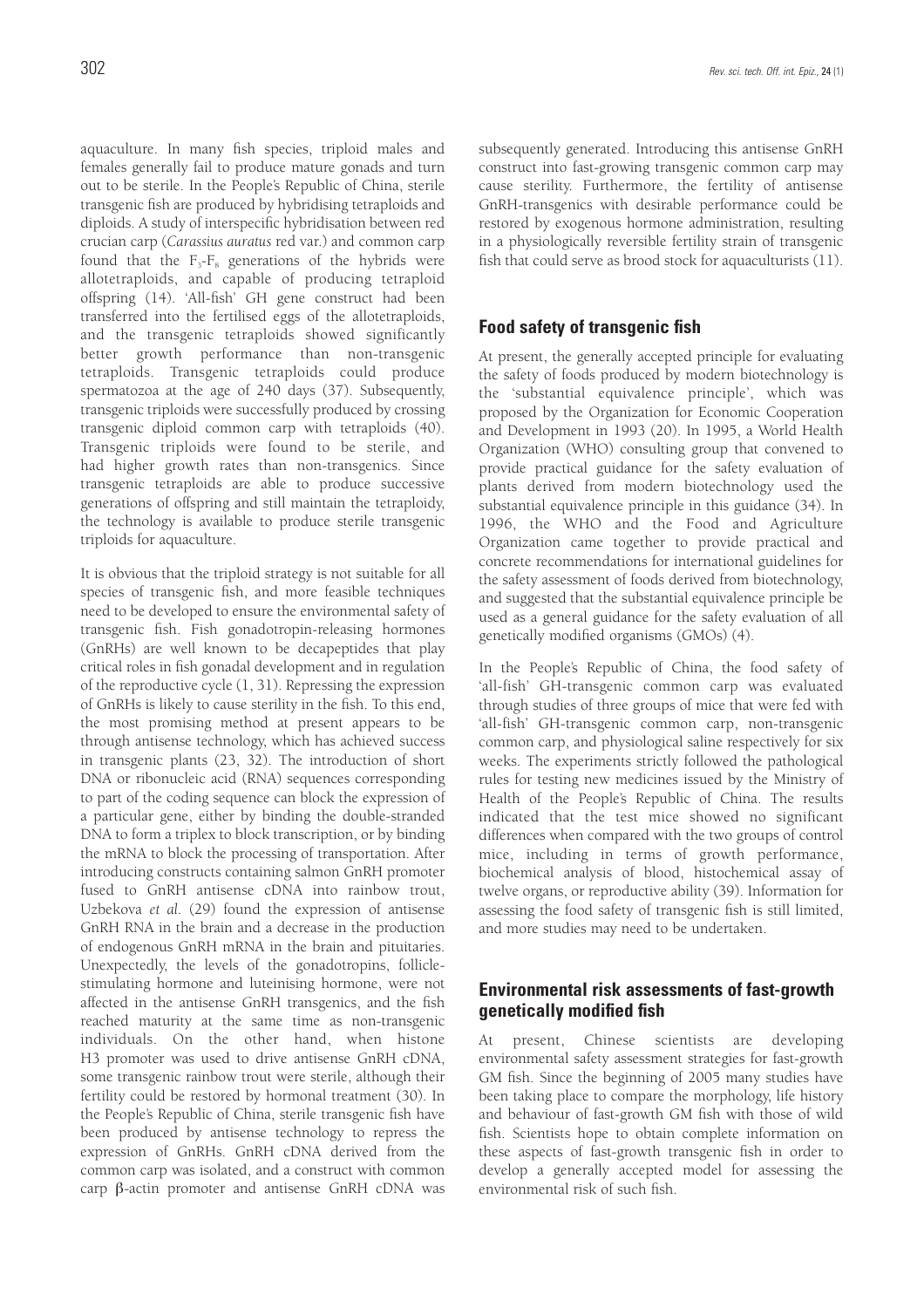aquaculture. In many fish species, triploid males and females generally fail to produce mature gonads and turn out to be sterile. In the People's Republic of China, sterile transgenic fish are produced by hybridising tetraploids and diploids. A study of interspecific hybridisation between red crucian carp (*Carassius auratus* red var.) and common carp found that the  $F_3-F_8$  generations of the hybrids were allotetraploids, and capable of producing tetraploid offspring (14). 'All-fish' GH gene construct had been transferred into the fertilised eggs of the allotetraploids, and the transgenic tetraploids showed significantly better growth performance than non-transgenic tetraploids. Transgenic tetraploids could produce spermatozoa at the age of 240 days (37). Subsequently, transgenic triploids were successfully produced by crossing transgenic diploid common carp with tetraploids (40). Transgenic triploids were found to be sterile, and had higher growth rates than non-transgenics. Since transgenic tetraploids are able to produce successive generations of offspring and still maintain the tetraploidy, the technology is available to produce sterile transgenic triploids for aquaculture.

It is obvious that the triploid strategy is not suitable for all species of transgenic fish, and more feasible techniques need to be developed to ensure the environmental safety of transgenic fish. Fish gonadotropin-releasing hormones (GnRHs) are well known to be decapeptides that play critical roles in fish gonadal development and in regulation of the reproductive cycle (1, 31). Repressing the expression of GnRHs is likely to cause sterility in the fish. To this end, the most promising method at present appears to be through antisense technology, which has achieved success in transgenic plants (23, 32). The introduction of short DNA or ribonucleic acid (RNA) sequences corresponding to part of the coding sequence can block the expression of a particular gene, either by binding the double-stranded DNA to form a triplex to block transcription, or by binding the mRNA to block the processing of transportation. After introducing constructs containing salmon GnRH promoter fused to GnRH antisense cDNA into rainbow trout, Uzbekova *et al.* (29) found the expression of antisense GnRH RNA in the brain and a decrease in the production of endogenous GnRH mRNA in the brain and pituitaries. Unexpectedly, the levels of the gonadotropins, folliclestimulating hormone and luteinising hormone, were not affected in the antisense GnRH transgenics, and the fish reached maturity at the same time as non-transgenic individuals. On the other hand, when histone H3 promoter was used to drive antisense GnRH cDNA, some transgenic rainbow trout were sterile, although their fertility could be restored by hormonal treatment (30). In the People's Republic of China, sterile transgenic fish have been produced by antisense technology to repress the expression of GnRHs. GnRH cDNA derived from the common carp was isolated, and a construct with common carp β-actin promoter and antisense GnRH cDNA was

subsequently generated. Introducing this antisense GnRH construct into fast-growing transgenic common carp may cause sterility. Furthermore, the fertility of antisense GnRH-transgenics with desirable performance could be restored by exogenous hormone administration, resulting in a physiologically reversible fertility strain of transgenic fish that could serve as brood stock for aquaculturists (11).

### **Food safety of transgenic fish**

At present, the generally accepted principle for evaluating the safety of foods produced by modern biotechnology is the 'substantial equivalence principle', which was proposed by the Organization for Economic Cooperation and Development in 1993 (20). In 1995, a World Health Organization (WHO) consulting group that convened to provide practical guidance for the safety evaluation of plants derived from modern biotechnology used the substantial equivalence principle in this guidance (34). In 1996, the WHO and the Food and Agriculture Organization came together to provide practical and concrete recommendations for international guidelines for the safety assessment of foods derived from biotechnology, and suggested that the substantial equivalence principle be used as a general guidance for the safety evaluation of all genetically modified organisms (GMOs) (4).

In the People's Republic of China, the food safety of 'all-fish' GH-transgenic common carp was evaluated through studies of three groups of mice that were fed with 'all-fish' GH-transgenic common carp, non-transgenic common carp, and physiological saline respectively for six weeks. The experiments strictly followed the pathological rules for testing new medicines issued by the Ministry of Health of the People's Republic of China. The results indicated that the test mice showed no significant differences when compared with the two groups of control mice, including in terms of growth performance, biochemical analysis of blood, histochemical assay of twelve organs, or reproductive ability (39). Information for assessing the food safety of transgenic fish is still limited, and more studies may need to be undertaken.

### **Environmental risk assessments of fast-growth genetically modified fish**

At present, Chinese scientists are developing environmental safety assessment strategies for fast-growth GM fish. Since the beginning of 2005 many studies have been taking place to compare the morphology, life history and behaviour of fast-growth GM fish with those of wild fish. Scientists hope to obtain complete information on these aspects of fast-growth transgenic fish in order to develop a generally accepted model for assessing the environmental risk of such fish.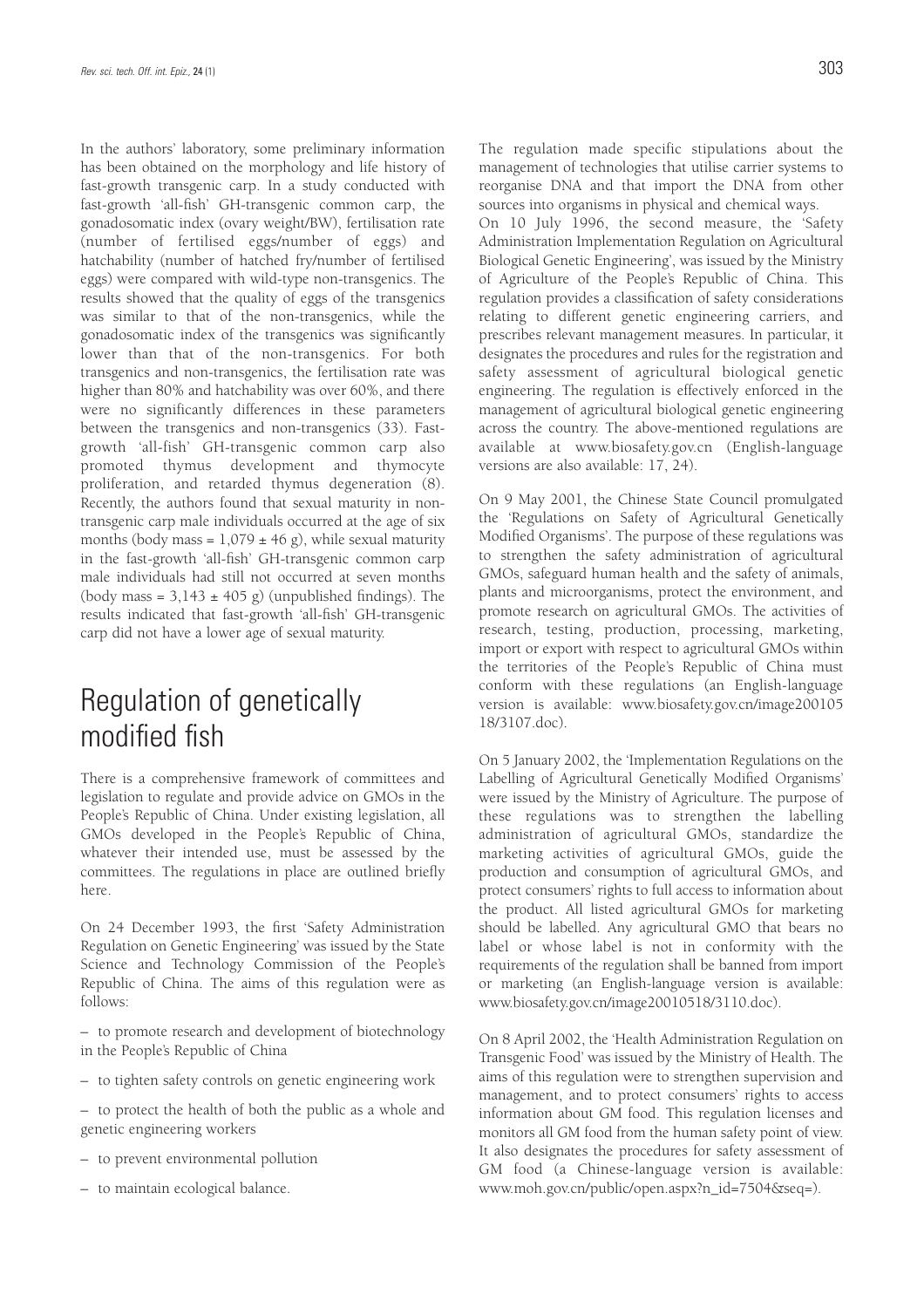In the authors' laboratory, some preliminary information has been obtained on the morphology and life history of fast-growth transgenic carp. In a study conducted with fast-growth 'all-fish' GH-transgenic common carp, the gonadosomatic index (ovary weight/BW), fertilisation rate (number of fertilised eggs/number of eggs) and hatchability (number of hatched fry/number of fertilised eggs) were compared with wild-type non-transgenics. The results showed that the quality of eggs of the transgenics was similar to that of the non-transgenics, while the gonadosomatic index of the transgenics was significantly lower than that of the non-transgenics. For both transgenics and non-transgenics, the fertilisation rate was higher than 80% and hatchability was over 60%, and there were no significantly differences in these parameters between the transgenics and non-transgenics (33). Fastgrowth 'all-fish' GH-transgenic common carp also promoted thymus development and thymocyte proliferation, and retarded thymus degeneration (8). Recently, the authors found that sexual maturity in nontransgenic carp male individuals occurred at the age of six months (body mass =  $1,079 \pm 46$  g), while sexual maturity in the fast-growth 'all-fish' GH-transgenic common carp male individuals had still not occurred at seven months (body mass =  $3,143 \pm 405$  g) (unpublished findings). The results indicated that fast-growth 'all-fish' GH-transgenic carp did not have a lower age of sexual maturity.

## Regulation of genetically modified fish

There is a comprehensive framework of committees and legislation to regulate and provide advice on GMOs in the People's Republic of China. Under existing legislation, all GMOs developed in the People's Republic of China, whatever their intended use, must be assessed by the committees. The regulations in place are outlined briefly here.

On 24 December 1993, the first 'Safety Administration Regulation on Genetic Engineering' was issued by the State Science and Technology Commission of the People's Republic of China. The aims of this regulation were as follows:

– to promote research and development of biotechnology in the People's Republic of China

- to tighten safety controls on genetic engineering work
- to protect the health of both the public as a whole and genetic engineering workers
- to prevent environmental pollution
- to maintain ecological balance.

The regulation made specific stipulations about the management of technologies that utilise carrier systems to reorganise DNA and that import the DNA from other sources into organisms in physical and chemical ways. On 10 July 1996, the second measure, the 'Safety Administration Implementation Regulation on Agricultural Biological Genetic Engineering', was issued by the Ministry of Agriculture of the People's Republic of China. This regulation provides a classification of safety considerations relating to different genetic engineering carriers, and prescribes relevant management measures. In particular, it designates the procedures and rules for the registration and safety assessment of agricultural biological genetic engineering. The regulation is effectively enforced in the management of agricultural biological genetic engineering across the country. The above-mentioned regulations are available at www.biosafety.gov.cn (English-language versions are also available: 17, 24).

On 9 May 2001, the Chinese State Council promulgated the 'Regulations on Safety of Agricultural Genetically Modified Organisms'. The purpose of these regulations was to strengthen the safety administration of agricultural GMOs, safeguard human health and the safety of animals, plants and microorganisms, protect the environment, and promote research on agricultural GMOs. The activities of research, testing, production, processing, marketing, import or export with respect to agricultural GMOs within the territories of the People's Republic of China must conform with these regulations (an English-language version is available: www.biosafety.gov.cn/image200105 18/3107.doc).

On 5 January 2002, the 'Implementation Regulations on the Labelling of Agricultural Genetically Modified Organisms' were issued by the Ministry of Agriculture. The purpose of these regulations was to strengthen the labelling administration of agricultural GMOs, standardize the marketing activities of agricultural GMOs, guide the production and consumption of agricultural GMOs, and protect consumers' rights to full access to information about the product. All listed agricultural GMOs for marketing should be labelled. Any agricultural GMO that bears no label or whose label is not in conformity with the requirements of the regulation shall be banned from import or marketing (an English-language version is available: www.biosafety.gov.cn/image20010518/3110.doc).

On 8 April 2002, the 'Health Administration Regulation on Transgenic Food' was issued by the Ministry of Health. The aims of this regulation were to strengthen supervision and management, and to protect consumers' rights to access information about GM food. This regulation licenses and monitors all GM food from the human safety point of view. It also designates the procedures for safety assessment of GM food (a Chinese-language version is available: www.moh.gov.cn/public/open.aspx?n\_id=7504&seq=).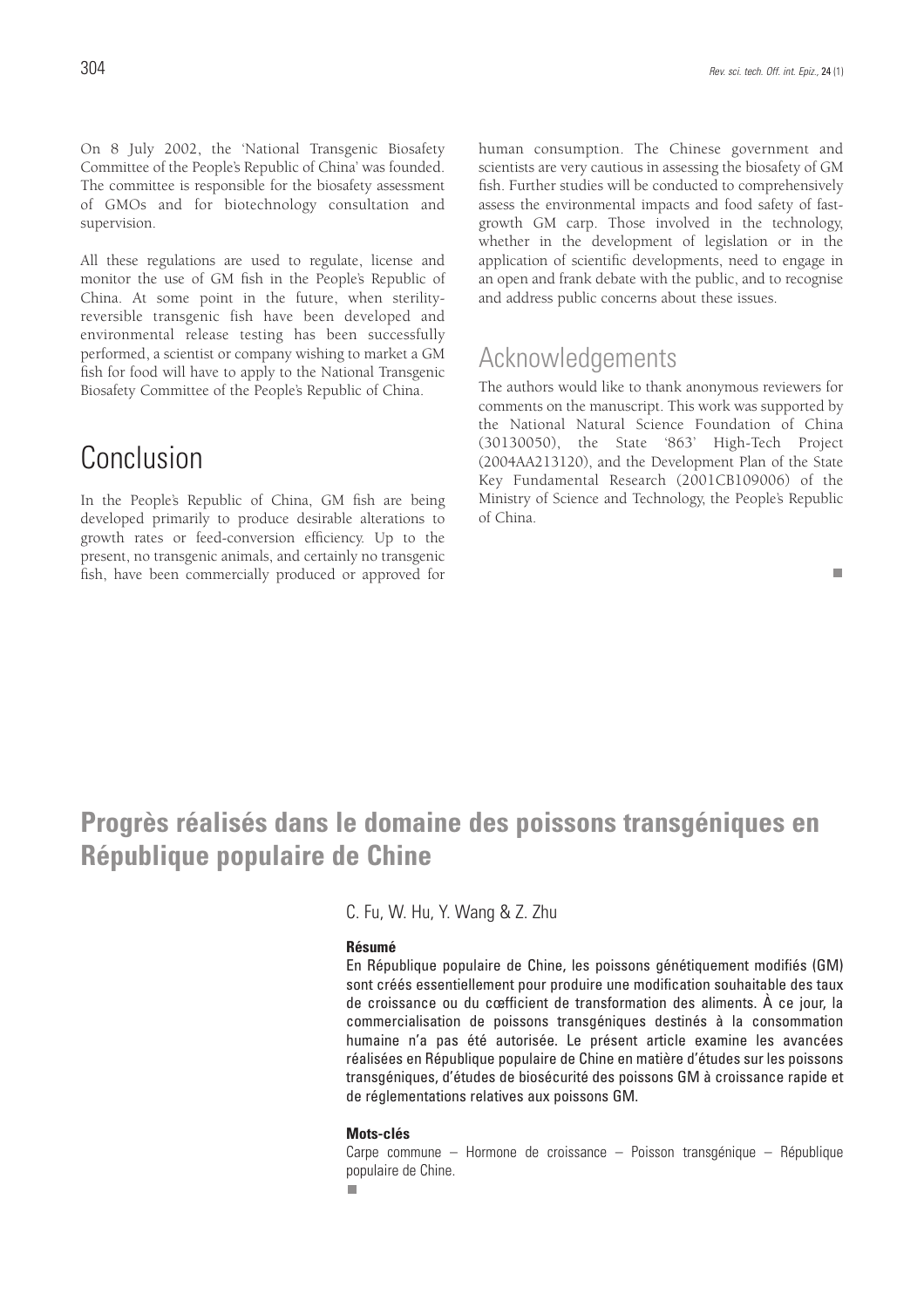All these regulations are used to regulate, license and monitor the use of GM fish in the People's Republic of China. At some point in the future, when sterilityreversible transgenic fish have been developed and environmental release testing has been successfully performed, a scientist or company wishing to market a GM fish for food will have to apply to the National Transgenic Biosafety Committee of the People's Republic of China.

## Conclusion

In the People's Republic of China, GM fish are being developed primarily to produce desirable alterations to growth rates or feed-conversion efficiency. Up to the present, no transgenic animals, and certainly no transgenic fish, have been commercially produced or approved for human consumption. The Chinese government and scientists are very cautious in assessing the biosafety of GM fish. Further studies will be conducted to comprehensively assess the environmental impacts and food safety of fastgrowth GM carp. Those involved in the technology, whether in the development of legislation or in the application of scientific developments, need to engage in an open and frank debate with the public, and to recognise and address public concerns about these issues.

### Acknowledgements

The authors would like to thank anonymous reviewers for comments on the manuscript. This work was supported by the National Natural Science Foundation of China (30130050), the State '863' High-Tech Project (2004AA213120), and the Development Plan of the State Key Fundamental Research (2001CB109006) of the Ministry of Science and Technology, the People's Republic of China.

#### $\overline{\phantom{a}}$

## **Progrès réalisés dans le domaine des poissons transgéniques en République populaire de Chine**

### C. Fu, W. Hu, Y. Wang & Z. Zhu

### **Résumé**

En République populaire de Chine, les poissons génétiquement modifiés (GM) sont créés essentiellement pour produire une modification souhaitable des taux de croissance ou du cœfficient de transformation des aliments. À ce jour, la commercialisation de poissons transgéniques destinés à la consommation humaine n'a pas été autorisée. Le présent article examine les avancées réalisées en République populaire de Chine en matière d'études sur les poissons transgéniques, d'études de biosécurité des poissons GM à croissance rapide et de réglementations relatives aux poissons GM.

#### **Mots-clés**

Carpe commune – Hormone de croissance – Poisson transgénique – République populaire de Chine.

п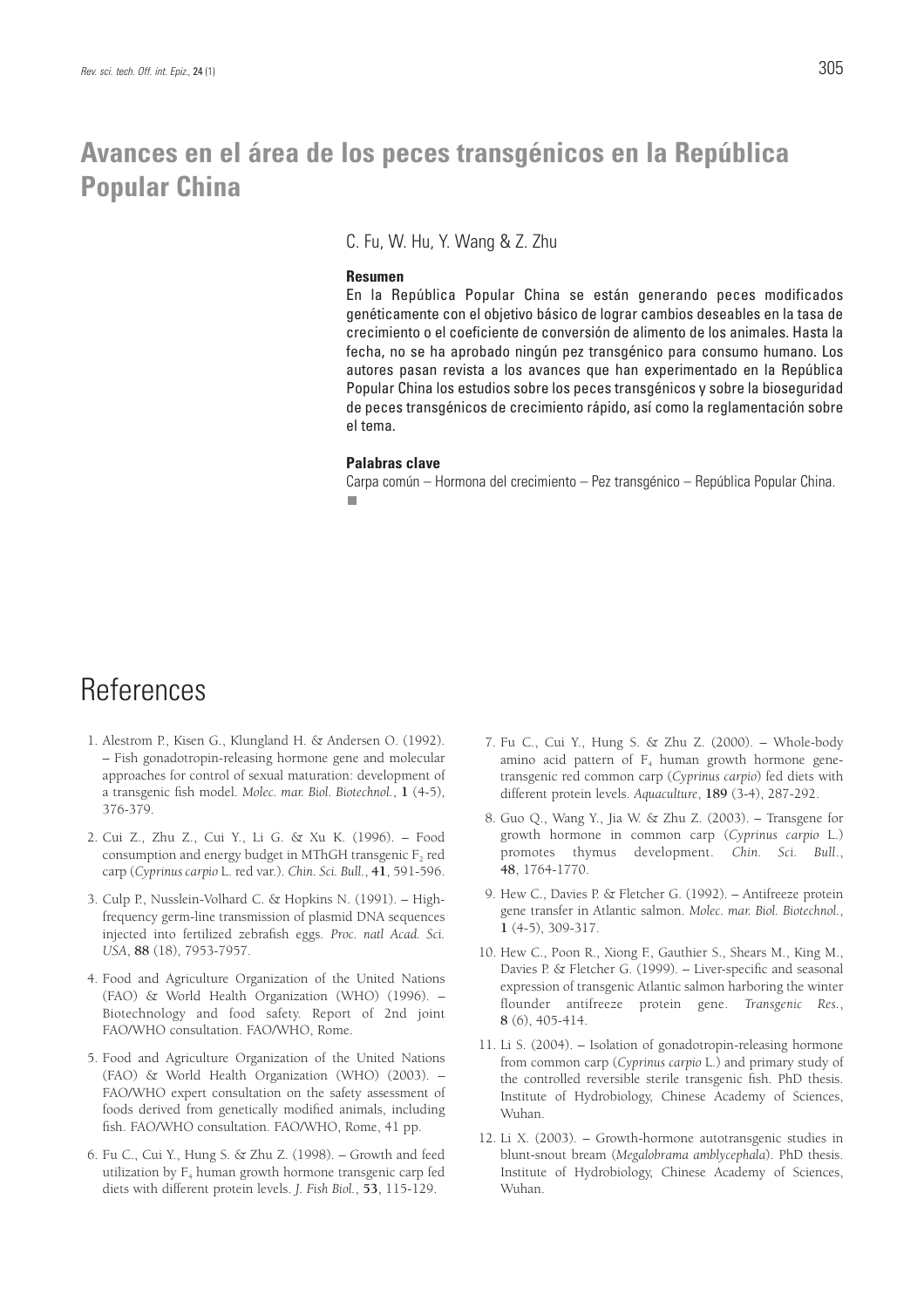### **Avances en el área de los peces transgénicos en la República Popular China**

C. Fu, W. Hu, Y. Wang & Z. Zhu

#### **Resumen**

En la República Popular China se están generando peces modificados genéticamente con el objetivo básico de lograr cambios deseables en la tasa de crecimiento o el coeficiente de conversión de alimento de los animales. Hasta la fecha, no se ha aprobado ningún pez transgénico para consumo humano. Los autores pasan revista a los avances que han experimentado en la República Popular China los estudios sobre los peces transgénicos y sobre la bioseguridad de peces transgénicos de crecimiento rápido, así como la reglamentación sobre el tema.

#### **Palabras clave**

Carpa común – Hormona del crecimiento – Pez transgénico – República Popular China.

### References

- 1. Alestrom P., Kisen G., Klungland H. & Andersen O. (1992). – Fish gonadotropin-releasing hormone gene and molecular approaches for control of sexual maturation: development of a transgenic fish model. *Molec. mar. Biol. Biotechnol.*, **1** (4-5), 376-379.
- 2. Cui Z., Zhu Z., Cui Y., Li G. & Xu K. (1996). Food consumption and energy budget in MThGH transgenic  $F<sub>2</sub>$  red carp (*Cyprinus carpio* L. red var.). *Chin. Sci. Bull.*, **41**, 591-596.
- 3. Culp P., Nusslein-Volhard C. & Hopkins N. (1991). Highfrequency germ-line transmission of plasmid DNA sequences injected into fertilized zebrafish eggs. *Proc. natl Acad. Sci. USA*, **88** (18), 7953-7957.
- 4. Food and Agriculture Organization of the United Nations (FAO) & World Health Organization (WHO) (1996). – Biotechnology and food safety. Report of 2nd joint FAO/WHO consultation. FAO/WHO, Rome.
- 5. Food and Agriculture Organization of the United Nations (FAO) & World Health Organization (WHO) (2003). – FAO/WHO expert consultation on the safety assessment of foods derived from genetically modified animals, including fish. FAO/WHO consultation. FAO/WHO, Rome, 41 pp.
- 6. Fu C., Cui Y., Hung S. & Zhu Z. (1998). Growth and feed utilization by  $F_4$  human growth hormone transgenic carp fed diets with different protein levels. *J. Fish Biol.*, **53**, 115-129.
- 7. Fu C., Cui Y., Hung S. & Zhu Z. (2000). Whole-body amino acid pattern of  $F_4$  human growth hormone genetransgenic red common carp (*Cyprinus carpio*) fed diets with different protein levels. *Aquaculture*, **189** (3-4), 287-292.
- 8. Guo Q., Wang Y., Jia W. & Zhu Z. (2003). Transgene for growth hormone in common carp (*Cyprinus carpio* L.) promotes thymus development. *Chin. Sci. Bull*., **48**, 1764-1770.
- 9. Hew C., Davies P. & Fletcher G. (1992). Antifreeze protein gene transfer in Atlantic salmon. *Molec. mar. Biol. Biotechnol.*, **1** (4-5), 309-317.
- 10. Hew C., Poon R., Xiong F., Gauthier S., Shears M., King M., Davies P. & Fletcher G. (1999). – Liver-specific and seasonal expression of transgenic Atlantic salmon harboring the winter flounder antifreeze protein gene. *Transgenic Res.*, **8** (6), 405-414.
- 11. Li S. (2004). Isolation of gonadotropin-releasing hormone from common carp (*Cyprinus carpio* L.) and primary study of the controlled reversible sterile transgenic fish. PhD thesis. Institute of Hydrobiology, Chinese Academy of Sciences, Wuhan.
- 12. Li X. (2003). Growth-hormone autotransgenic studies in blunt-snout bream (*Megalobrama amblycephala*). PhD thesis. Institute of Hydrobiology, Chinese Academy of Sciences, Wuhan.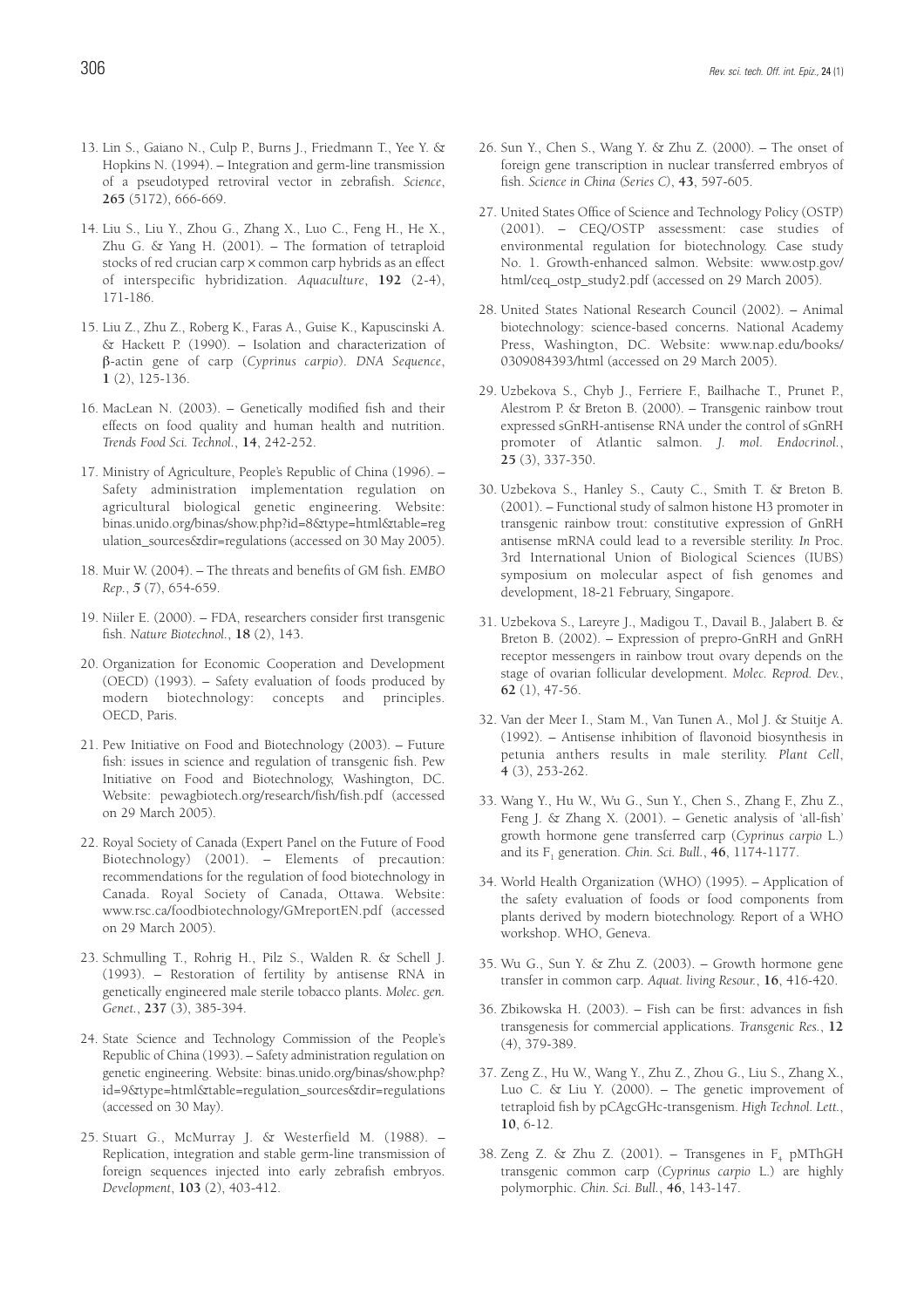- 13. Lin S., Gaiano N., Culp P., Burns J., Friedmann T., Yee Y. & Hopkins N. (1994). – Integration and germ-line transmission of a pseudotyped retroviral vector in zebrafish. *Science*, **265** (5172), 666-669.
- 14. Liu S., Liu Y., Zhou G., Zhang X., Luo C., Feng H., He X., Zhu G. & Yang H. (2001). – The formation of tetraploid stocks of red crucian carp x common carp hybrids as an effect of interspecific hybridization. *Aquaculture*, **192** (2-4), 171-186.
- 15. Liu Z., Zhu Z., Roberg K., Faras A., Guise K., Kapuscinski A. & Hackett P. (1990). – Isolation and characterization of β-actin gene of carp (*Cyprinus carpio*). *DNA Sequence*, **1** (2), 125-136.
- 16. MacLean N. (2003). Genetically modified fish and their effects on food quality and human health and nutrition. *Trends Food Sci. Technol.*, **14**, 242-252.
- 17. Ministry of Agriculture, People's Republic of China (1996). Safety administration implementation regulation on agricultural biological genetic engineering. Website: binas.unido.org/binas/show.php?id=8&type=html&table=reg ulation\_sources&dir=regulations (accessed on 30 May 2005).
- 18. Muir W. (2004). The threats and benefits of GM fish. *EMBO Rep.*, *5* (7), 654-659.
- 19. Niiler E. (2000). FDA, researchers consider first transgenic fish. *Nature Biotechnol.*, **18** (2), 143.
- 20. Organization for Economic Cooperation and Development (OECD) (1993). – Safety evaluation of foods produced by modern biotechnology: concepts and principles. OECD, Paris.
- 21. Pew Initiative on Food and Biotechnology (2003). Future fish: issues in science and regulation of transgenic fish. Pew Initiative on Food and Biotechnology, Washington, DC. Website: pewagbiotech.org/research/fish/fish.pdf (accessed on 29 March 2005).
- 22. Royal Society of Canada (Expert Panel on the Future of Food Biotechnology) (2001). – Elements of precaution: recommendations for the regulation of food biotechnology in Canada. Royal Society of Canada, Ottawa. Website: www.rsc.ca/foodbiotechnology/GMreportEN.pdf (accessed on 29 March 2005).
- 23. Schmulling T., Rohrig H., Pilz S., Walden R. & Schell J. (1993). – Restoration of fertility by antisense RNA in genetically engineered male sterile tobacco plants. *Molec. gen. Genet.*, **237** (3), 385-394.
- 24. State Science and Technology Commission of the People's Republic of China (1993). – Safety administration regulation on genetic engineering. Website: binas.unido.org/binas/show.php? id=9&type=html&table=regulation\_sources&dir=regulations (accessed on 30 May).
- 25. Stuart G., McMurray J. & Westerfield M. (1988). Replication, integration and stable germ-line transmission of foreign sequences injected into early zebrafish embryos. *Development*, **103** (2), 403-412.
- 26. Sun Y., Chen S., Wang Y. & Zhu Z. (2000). The onset of foreign gene transcription in nuclear transferred embryos of fish. *Science in China (Series C)*, **43**, 597-605.
- 27. United States Office of Science and Technology Policy (OSTP) (2001). – CEQ/OSTP assessment: case studies of environmental regulation for biotechnology. Case study No. 1. Growth-enhanced salmon. Website: www.ostp.gov/ html/ceq\_ostp\_study2.pdf (accessed on 29 March 2005).
- 28. United States National Research Council (2002). Animal biotechnology: science-based concerns. National Academy Press, Washington, DC. Website: www.nap.edu/books/ 0309084393/html (accessed on 29 March 2005).
- 29. Uzbekova S., Chyb J., Ferriere F., Bailhache T., Prunet P., Alestrom P. & Breton B. (2000). – Transgenic rainbow trout expressed sGnRH-antisense RNA under the control of sGnRH promoter of Atlantic salmon. *J. mol. Endocrinol.*, **25** (3), 337-350.
- 30. Uzbekova S., Hanley S., Cauty C., Smith T. & Breton B. (2001). – Functional study of salmon histone H3 promoter in transgenic rainbow trout: constitutive expression of GnRH antisense mRNA could lead to a reversible sterility. *In* Proc. 3rd International Union of Biological Sciences (IUBS) symposium on molecular aspect of fish genomes and development, 18-21 February, Singapore.
- 31. Uzbekova S., Lareyre J., Madigou T., Davail B., Jalabert B. & Breton B. (2002). – Expression of prepro-GnRH and GnRH receptor messengers in rainbow trout ovary depends on the stage of ovarian follicular development. *Molec. Reprod. Dev.*, **62** (1), 47-56.
- 32. Van der Meer I., Stam M., Van Tunen A., Mol J. & Stuitje A. (1992). – Antisense inhibition of flavonoid biosynthesis in petunia anthers results in male sterility. *Plant Cell*, **4** (3), 253-262.
- 33. Wang Y., Hu W., Wu G., Sun Y., Chen S., Zhang F., Zhu Z., Feng J. & Zhang X. (2001). – Genetic analysis of 'all-fish' growth hormone gene transferred carp (*Cyprinus carpio* L.) and its F1 generation. *Chin. Sci. Bull.*, **46**, 1174-1177.
- 34. World Health Organization (WHO) (1995). Application of the safety evaluation of foods or food components from plants derived by modern biotechnology. Report of a WHO workshop. WHO, Geneva.
- 35. Wu G., Sun Y. & Zhu Z. (2003). Growth hormone gene transfer in common carp. *Aquat. living Resour.*, **16**, 416-420.
- 36. Zbikowska H. (2003). Fish can be first: advances in fish transgenesis for commercial applications. *Transgenic Res.*, **12** (4), 379-389.
- 37. Zeng Z., Hu W., Wang Y., Zhu Z., Zhou G., Liu S., Zhang X., Luo C. & Liu Y. (2000). – The genetic improvement of tetraploid fish by pCAgcGHc-transgenism. *High Technol. Lett.*, **10**, 6-12.
- 38. Zeng Z. & Zhu Z. (2001). Transgenes in  $F_4$  pMThGH transgenic common carp (*Cyprinus carpio* L.) are highly polymorphic. *Chin. Sci. Bull.*, **46**, 143-147.